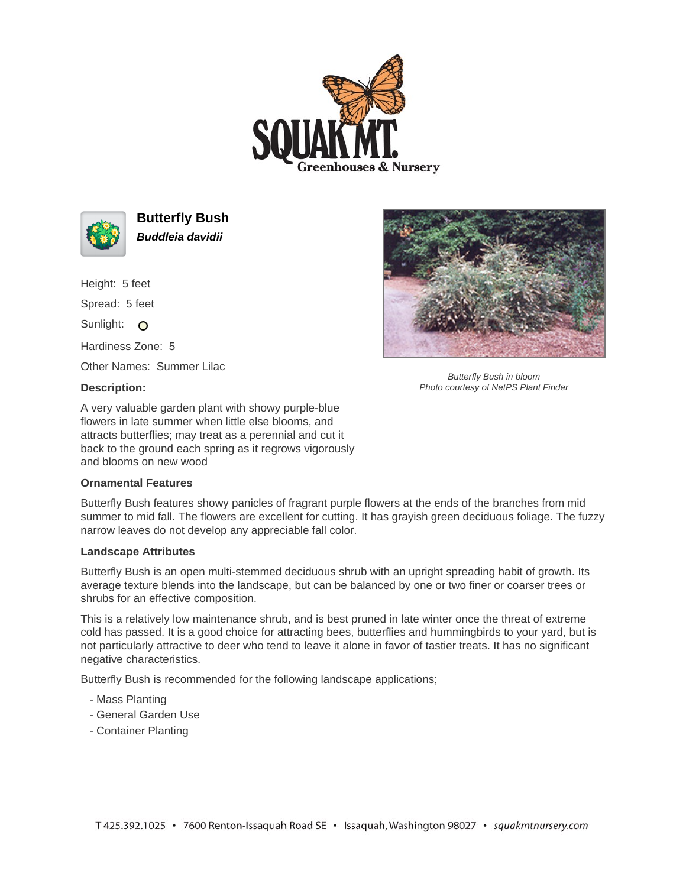



**Butterfly Bush Buddleia davidii**

Height: 5 feet Spread: 5 feet

Sunlight: O

Hardiness Zone: 5

Other Names: Summer Lilac

## **Description:**

A very valuable garden plant with showy purple-blue flowers in late summer when little else blooms, and attracts butterflies; may treat as a perennial and cut it back to the ground each spring as it regrows vigorously and blooms on new wood

## **Ornamental Features**

Butterfly Bush features showy panicles of fragrant purple flowers at the ends of the branches from mid summer to mid fall. The flowers are excellent for cutting. It has grayish green deciduous foliage. The fuzzy narrow leaves do not develop any appreciable fall color.

## **Landscape Attributes**

Butterfly Bush is an open multi-stemmed deciduous shrub with an upright spreading habit of growth. Its average texture blends into the landscape, but can be balanced by one or two finer or coarser trees or shrubs for an effective composition.

This is a relatively low maintenance shrub, and is best pruned in late winter once the threat of extreme cold has passed. It is a good choice for attracting bees, butterflies and hummingbirds to your yard, but is not particularly attractive to deer who tend to leave it alone in favor of tastier treats. It has no significant negative characteristics.

Butterfly Bush is recommended for the following landscape applications;

- Mass Planting
- General Garden Use
- Container Planting



Butterfly Bush in bloom Photo courtesy of NetPS Plant Finder